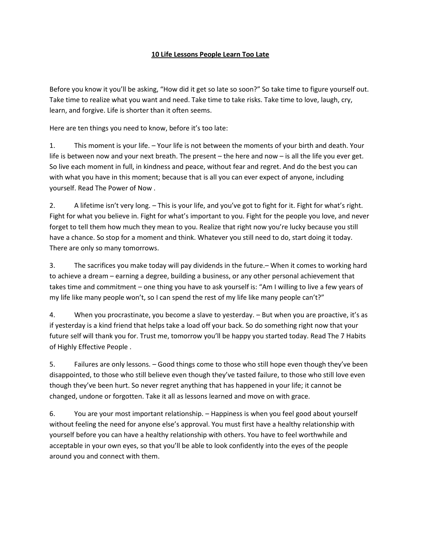## **10 Life Lessons People Learn Too Late**

Before you know it you'll be asking, "How did it get so late so soon?" So take time to figure yourself out. Take time to realize what you want and need. Take time to take risks. Take time to love, laugh, cry, learn, and forgive. Life is shorter than it often seems.

Here are ten things you need to know, before it's too late:

1. This moment is your life. – Your life is not between the moments of your birth and death. Your life is between now and your next breath. The present – the here and now – is all the life you ever get. So live each moment in full, in kindness and peace, without fear and regret. And do the best you can with what you have in this moment; because that is all you can ever expect of anyone, including yourself. Read The Power of Now .

2. A lifetime isn't very long. – This is your life, and you've got to fight for it. Fight for what's right. Fight for what you believe in. Fight for what's important to you. Fight for the people you love, and never forget to tell them how much they mean to you. Realize that right now you're lucky because you still have a chance. So stop for a moment and think. Whatever you still need to do, start doing it today. There are only so many tomorrows.

3. The sacrifices you make today will pay dividends in the future.– When it comes to working hard to achieve a dream – earning a degree, building a business, or any other personal achievement that takes time and commitment – one thing you have to ask yourself is: "Am I willing to live a few years of my life like many people won't, so I can spend the rest of my life like many people can't?"

4. When you procrastinate, you become a slave to yesterday. – But when you are proactive, it's as if yesterday is a kind friend that helps take a load off your back. So do something right now that your future self will thank you for. Trust me, tomorrow you'll be happy you started today. Read The 7 Habits of Highly Effective People .

5. Failures are only lessons. – Good things come to those who still hope even though they've been disappointed, to those who still believe even though they've tasted failure, to those who still love even though they've been hurt. So never regret anything that has happened in your life; it cannot be changed, undone or forgotten. Take it all as lessons learned and move on with grace.

6. You are your most important relationship. – Happiness is when you feel good about yourself without feeling the need for anyone else's approval. You must first have a healthy relationship with yourself before you can have a healthy relationship with others. You have to feel worthwhile and acceptable in your own eyes, so that you'll be able to look confidently into the eyes of the people around you and connect with them.